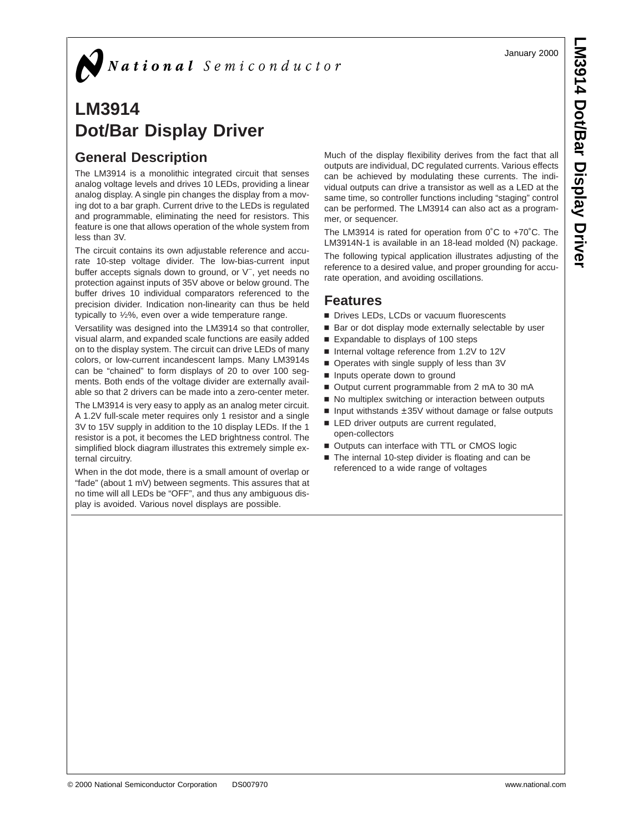**LM3914 Dot/Bar Display Driver**

# $\sum$  National Semiconductor

# **LM3914 Dot/Bar Display Driver**

## **General Description**

The LM3914 is a monolithic integrated circuit that senses analog voltage levels and drives 10 LEDs, providing a linear analog display. A single pin changes the display from a moving dot to a bar graph. Current drive to the LEDs is regulated and programmable, eliminating the need for resistors. This feature is one that allows operation of the whole system from less than 3V.

The circuit contains its own adjustable reference and accurate 10-step voltage divider. The low-bias-current input buffer accepts signals down to ground, or V− , yet needs no protection against inputs of 35V above or below ground. The buffer drives 10 individual comparators referenced to the precision divider. Indication non-linearity can thus be held typically to 1⁄2%, even over a wide temperature range.

Versatility was designed into the LM3914 so that controller, visual alarm, and expanded scale functions are easily added on to the display system. The circuit can drive LEDs of many colors, or low-current incandescent lamps. Many LM3914s can be "chained" to form displays of 20 to over 100 segments. Both ends of the voltage divider are externally available so that 2 drivers can be made into a zero-center meter.

The LM3914 is very easy to apply as an analog meter circuit. A 1.2V full-scale meter requires only 1 resistor and a single 3V to 15V supply in addition to the 10 display LEDs. If the 1 resistor is a pot, it becomes the LED brightness control. The simplified block diagram illustrates this extremely simple external circuitry.

When in the dot mode, there is a small amount of overlap or "fade" (about 1 mV) between segments. This assures that at no time will all LEDs be "OFF", and thus any ambiguous display is avoided. Various novel displays are possible.

Much of the display flexibility derives from the fact that all outputs are individual, DC regulated currents. Various effects can be achieved by modulating these currents. The individual outputs can drive a transistor as well as a LED at the same time, so controller functions including "staging" control can be performed. The LM3914 can also act as a programmer, or sequencer.

The LM3914 is rated for operation from 0˚C to +70˚C. The LM3914N-1 is available in an 18-lead molded (N) package. The following typical application illustrates adjusting of the reference to a desired value, and proper grounding for accurate operation, and avoiding oscillations.

## **Features**

- Drives LEDs, LCDs or vacuum fluorescents
- Bar or dot display mode externally selectable by user
- Expandable to displays of 100 steps
- Internal voltage reference from 1.2V to 12V
- Operates with single supply of less than 3V
- n Inputs operate down to ground
- Output current programmable from 2 mA to 30 mA
- No multiplex switching or interaction between outputs
- Input withstands  $\pm 35V$  without damage or false outputs
- LED driver outputs are current regulated, open-collectors
- Outputs can interface with TTL or CMOS logic
- The internal 10-step divider is floating and can be referenced to a wide range of voltages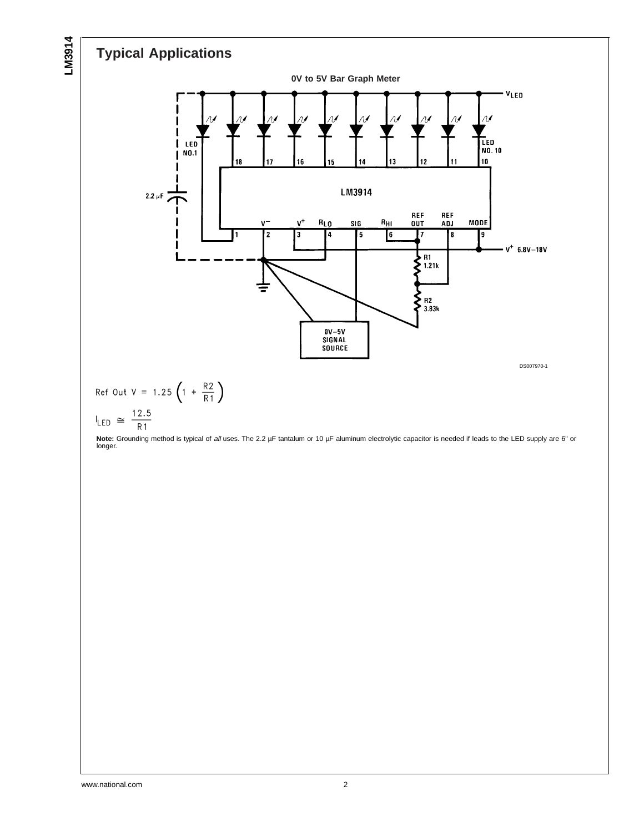# **Typical Applications**

**LM3914**



**Note:** Grounding method is typical of all uses. The 2.2 µF tantalum or 10 µF aluminum electrolytic capacitor is needed if leads to the LED supply are 6" or longer.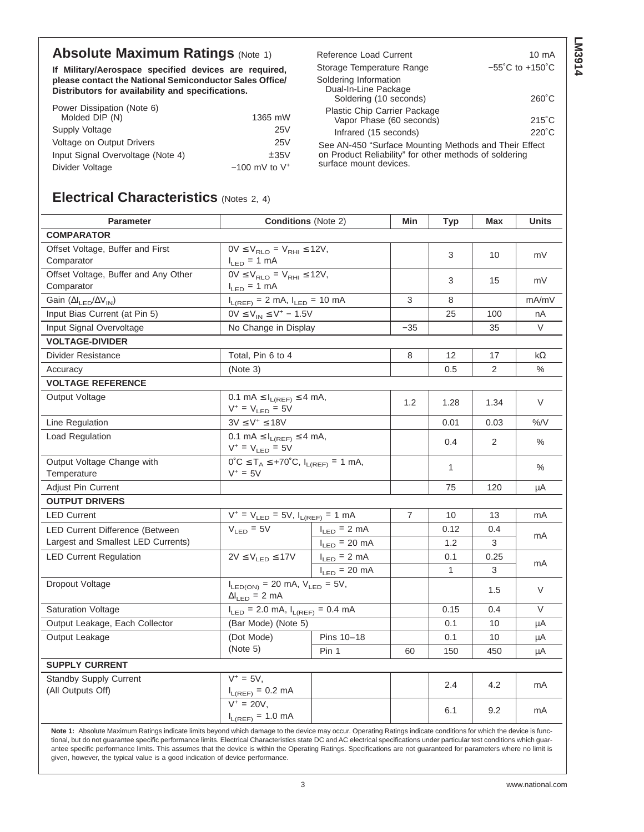## **Absolute Maximum Ratings (Note 1)**

**If Military/Aerospace specified devices are required, please contact the National Semiconductor Sales Office/ Distributors for availability and specifications.**

| Power Dissipation (Note 6)        |                    |
|-----------------------------------|--------------------|
| Molded DIP (N)                    | 1365 mW            |
| Supply Voltage                    | 25V                |
| Voltage on Output Drivers         | 25V                |
| Input Signal Overvoltage (Note 4) | ±35V               |
| Divider Voltage                   | $-100$ mV to $V^+$ |
|                                   |                    |

| Reference Load Current                                                  | 10 mA                                |
|-------------------------------------------------------------------------|--------------------------------------|
| Storage Temperature Range                                               | $-55^{\circ}$ C to +150 $^{\circ}$ C |
| Soldering Information<br>Dual-In-Line Package<br>Soldering (10 seconds) | $260^{\circ}$ C                      |
| Plastic Chip Carrier Package<br>Vapor Phase (60 seconds)                | $215^{\circ}$ C                      |
| Infrared (15 seconds)                                                   | $220^{\circ}$ C                      |

See AN-450 "Surface Mounting Methods and Their Effect on Product Reliability" for other methods of soldering surface mount devices.

## **Electrical Characteristics** (Notes 2, 4)

| <b>Parameter</b>                                                                                                                                                                                                                                                                                                                                                                                                                                                                                                                                                                                         | <b>Conditions (Note 2)</b>                                                 |                                         | Min   | <b>Typ</b>   | Max            | <b>Units</b> |
|----------------------------------------------------------------------------------------------------------------------------------------------------------------------------------------------------------------------------------------------------------------------------------------------------------------------------------------------------------------------------------------------------------------------------------------------------------------------------------------------------------------------------------------------------------------------------------------------------------|----------------------------------------------------------------------------|-----------------------------------------|-------|--------------|----------------|--------------|
| <b>COMPARATOR</b>                                                                                                                                                                                                                                                                                                                                                                                                                                                                                                                                                                                        |                                                                            |                                         |       |              |                |              |
| Offset Voltage, Buffer and First<br>Comparator                                                                                                                                                                                                                                                                                                                                                                                                                                                                                                                                                           | $0V \le V_{RLO} = V_{RHI} \le 12V$ ,<br>$I_{LED} = 1$ mA                   |                                         |       | 3            | 10             | mV           |
| Offset Voltage, Buffer and Any Other<br>Comparator                                                                                                                                                                                                                                                                                                                                                                                                                                                                                                                                                       | $0V \leq V_{RLO} = V_{RHI} \leq 12V$ ,<br>$I_{LED} = 1$ mA                 |                                         |       | 3            | 15             | mV           |
| Gain (ΔI <sub>LED</sub> /ΔV <sub>IN</sub> )                                                                                                                                                                                                                                                                                                                                                                                                                                                                                                                                                              |                                                                            | $I_{L(REF)} = 2$ mA, $I_{LED} = 10$ mA  |       | 8            |                | mA/mV        |
| Input Bias Current (at Pin 5)                                                                                                                                                                                                                                                                                                                                                                                                                                                                                                                                                                            | $0V \le V_{IN} \le V^+ - 1.5V$                                             |                                         |       | 25           | 100            | nA           |
| Input Signal Overvoltage                                                                                                                                                                                                                                                                                                                                                                                                                                                                                                                                                                                 | No Change in Display                                                       |                                         | $-35$ |              | 35             | V            |
| <b>VOLTAGE-DIVIDER</b>                                                                                                                                                                                                                                                                                                                                                                                                                                                                                                                                                                                   |                                                                            |                                         |       |              |                |              |
| Divider Resistance                                                                                                                                                                                                                                                                                                                                                                                                                                                                                                                                                                                       | Total, Pin 6 to 4                                                          |                                         |       | 12           | 17             | kΩ           |
| Accuracy                                                                                                                                                                                                                                                                                                                                                                                                                                                                                                                                                                                                 | (Note 3)                                                                   |                                         |       | 0.5          | $\overline{2}$ | $\%$         |
| <b>VOLTAGE REFERENCE</b>                                                                                                                                                                                                                                                                                                                                                                                                                                                                                                                                                                                 |                                                                            |                                         |       |              |                |              |
| Output Voltage                                                                                                                                                                                                                                                                                                                                                                                                                                                                                                                                                                                           | 0.1 mA $\leq$ $I_{L(REF)} \leq$ 4 mA,<br>$V^+$ = $V_{LED}$ = 5V            |                                         | 1.2   | 1.28         | 1.34           | V            |
| Line Regulation                                                                                                                                                                                                                                                                                                                                                                                                                                                                                                                                                                                          | $3V \leq V^+ \leq 18V$                                                     |                                         |       | 0.01         | 0.03           | %/V          |
| Load Regulation                                                                                                                                                                                                                                                                                                                                                                                                                                                                                                                                                                                          | 0.1 mA $\leq$ $I_{L(REF)} \leq$ 4 mA,<br>$V^+ = V_{LED} = 5V$              |                                         |       | 0.4          | 2              | $\%$         |
| Output Voltage Change with<br>Temperature                                                                                                                                                                                                                                                                                                                                                                                                                                                                                                                                                                | $0^{\circ}C \leq T_A \leq +70^{\circ}C, I_{L(REF)} = 1$ mA,<br>$V^+ = 5V$  |                                         |       | 1            |                | %            |
| <b>Adjust Pin Current</b>                                                                                                                                                                                                                                                                                                                                                                                                                                                                                                                                                                                |                                                                            |                                         |       | 75           | 120            | μA           |
| <b>OUTPUT DRIVERS</b>                                                                                                                                                                                                                                                                                                                                                                                                                                                                                                                                                                                    |                                                                            |                                         |       |              |                |              |
| <b>LED Current</b>                                                                                                                                                                                                                                                                                                                                                                                                                                                                                                                                                                                       |                                                                            | $V^+ = V_{LED} = 5V, l_{L(REF)} = 1 mA$ |       | 10           | 13             | mA           |
| LED Current Difference (Between                                                                                                                                                                                                                                                                                                                                                                                                                                                                                                                                                                          | $V_{LED} = 5V$                                                             | $I_{LED} = 2 mA$                        |       | 0.12         | 0.4            |              |
| Largest and Smallest LED Currents)                                                                                                                                                                                                                                                                                                                                                                                                                                                                                                                                                                       |                                                                            | $I_{LED} = 20 \text{ mA}$               |       | 1.2          | 3              | mA           |
| <b>LED Current Regulation</b>                                                                                                                                                                                                                                                                                                                                                                                                                                                                                                                                                                            | $2V \leq V_{LED} \leq 17V$                                                 | $I_{LED} = 2 mA$                        |       | 0.1          | 0.25           |              |
|                                                                                                                                                                                                                                                                                                                                                                                                                                                                                                                                                                                                          |                                                                            | $I_{LED} = 20 \text{ mA}$               |       | $\mathbf{1}$ | 3              | mA           |
| Dropout Voltage                                                                                                                                                                                                                                                                                                                                                                                                                                                                                                                                                                                          | $I_{LED(ON)} = 20$ mA, $V_{LED} = 5V$ ,<br>$\Delta I_{LED} = 2 \text{ mA}$ |                                         |       |              | 1.5            | V            |
| <b>Saturation Voltage</b>                                                                                                                                                                                                                                                                                                                                                                                                                                                                                                                                                                                | $I_{LED}$ = 2.0 mA, $I_{L(REF)}$ = 0.4 mA                                  |                                         |       | 0.15         | 0.4            | V            |
| Output Leakage, Each Collector                                                                                                                                                                                                                                                                                                                                                                                                                                                                                                                                                                           | (Bar Mode) (Note 5)                                                        |                                         |       | 0.1          | 10             | μA           |
| Output Leakage                                                                                                                                                                                                                                                                                                                                                                                                                                                                                                                                                                                           | (Dot Mode)                                                                 | Pins 10-18                              |       | 0.1          | 10             | μA           |
|                                                                                                                                                                                                                                                                                                                                                                                                                                                                                                                                                                                                          | (Note 5)                                                                   | Pin 1                                   | 60    | 150          | 450            | μA           |
| <b>SUPPLY CURRENT</b>                                                                                                                                                                                                                                                                                                                                                                                                                                                                                                                                                                                    |                                                                            |                                         |       |              |                |              |
| Standby Supply Current                                                                                                                                                                                                                                                                                                                                                                                                                                                                                                                                                                                   | $V^+ = 5V,$                                                                |                                         |       | 2.4          | 4.2            |              |
| (All Outputs Off)                                                                                                                                                                                                                                                                                                                                                                                                                                                                                                                                                                                        | $\frac{I_{L(REF)} = 0.2 \text{ mA}}{V^+ = 20 V,}$                          |                                         |       |              |                | mA           |
|                                                                                                                                                                                                                                                                                                                                                                                                                                                                                                                                                                                                          | $I_{L(REF)} = 1.0 \text{ mA}$                                              |                                         |       | 6.1          | 9.2            | mA           |
| Note 1: Absolute Maximum Ratings indicate limits beyond which damage to the device may occur. Operating Ratings indicate conditions for which the device is func-<br>tional, but do not quarantee specific performance limits. Electrical Characteristics state DC and AC electrical specifications under particular test conditions which quar-<br>antee specific performance limits. This assumes that the device is within the Operating Ratings. Specifications are not guaranteed for parameters where no limit is<br>given, however, the typical value is a good indication of device performance. |                                                                            |                                         |       |              |                |              |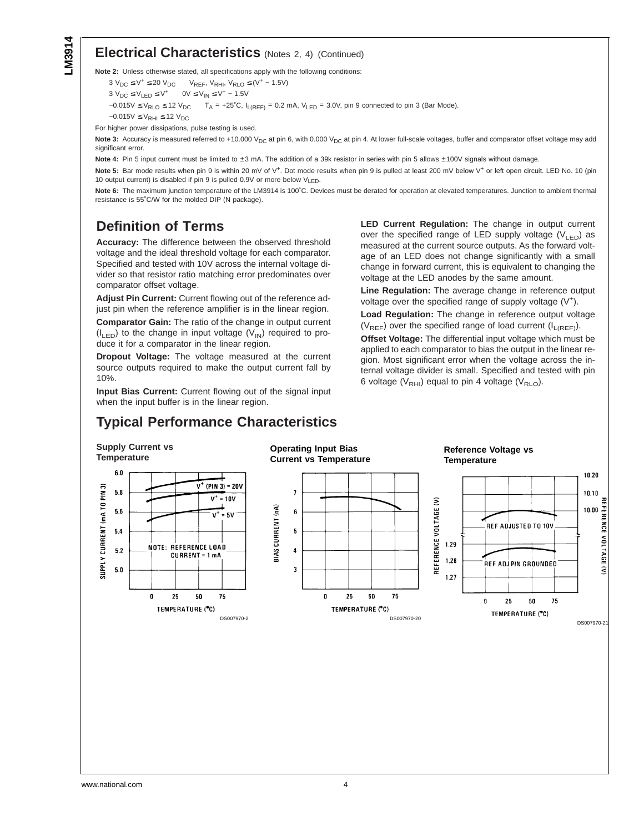### **Electrical Characteristics** (Notes 2, 4) (Continued)

**Note 2:** Unless otherwise stated, all specifications apply with the following conditions:

 $3 V_{DC} \le V^+ \le 20 V_{DC}$  V<sub>REF</sub>, V<sub>RHI</sub>, V<sub>RLO</sub> ≤ (V<sup>+</sup> – 1.5V)  $3 V_{DC} \le V_{LED} \le V^+$  0V  $\le V_{IN} \le V^+ - 1.5V$  $-0.015V \le V_{RLO} \le 12 V_{DC}$  T<sub>A</sub> = +25°C, I<sub>L(REF)</sub> = 0.2 mA, V<sub>LED</sub> = 3.0V, pin 9 connected to pin 3 (Bar Mode).  $-0.015V \le V<sub>RHI</sub> \le 12 V<sub>DC</sub>$ 

For higher power dissipations, pulse testing is used.

Note 3: Accuracy is measured referred to +10.000 V<sub>DC</sub> at pin 6, with 0.000 V<sub>DC</sub> at pin 4. At lower full-scale voltages, buffer and comparator offset voltage may add significant error.

Note 4: Pin 5 input current must be limited to ±3 mA. The addition of a 39k resistor in series with pin 5 allows ±100V signals without damage.

Note 5: Bar mode results when pin 9 is within 20 mV of V<sup>+</sup>. Dot mode results when pin 9 is pulled at least 200 mV below V<sup>+</sup> or left open circuit. LED No. 10 (pin 10 output current) is disabled if pin 9 is pulled 0.9V or more below  $V_{LED}$ .

**Note 6:** The maximum junction temperature of the LM3914 is 100˚C. Devices must be derated for operation at elevated temperatures. Junction to ambient thermal resistance is 55˚C/W for the molded DIP (N package).

## **Definition of Terms**

**Accuracy:** The difference between the observed threshold voltage and the ideal threshold voltage for each comparator. Specified and tested with 10V across the internal voltage divider so that resistor ratio matching error predominates over comparator offset voltage.

**Adjust Pin Current:** Current flowing out of the reference adjust pin when the reference amplifier is in the linear region.

**Comparator Gain:** The ratio of the change in output current  $(I_{LED})$  to the change in input voltage  $(V_{IN})$  required to produce it for a comparator in the linear region.

**Dropout Voltage:** The voltage measured at the current source outputs required to make the output current fall by 10%.

**Input Bias Current:** Current flowing out of the signal input when the input buffer is in the linear region.

## **Typical Performance Characteristics**

**LED Current Regulation:** The change in output current over the specified range of LED supply voltage  $(V_{LED})$  as measured at the current source outputs. As the forward voltage of an LED does not change significantly with a small change in forward current, this is equivalent to changing the voltage at the LED anodes by the same amount.

**Line Regulation:** The average change in reference output voltage over the specified range of supply voltage  $(V^+)$ .

**Load Regulation:** The change in reference output voltage  $(V_{REF})$  over the specified range of load current  $(I_{L(REF)})$ .

**Offset Voltage:** The differential input voltage which must be applied to each comparator to bias the output in the linear region. Most significant error when the voltage across the internal voltage divider is small. Specified and tested with pin 6 voltage ( $V<sub>RHI</sub>$ ) equal to pin 4 voltage ( $V<sub>RLO</sub>$ ).

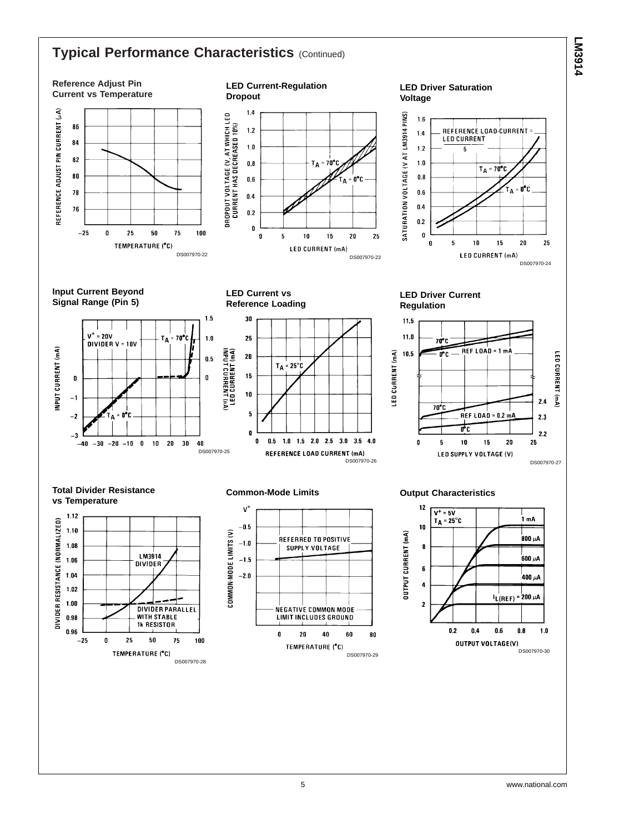## **Typical Performance Characteristics (Continued)**

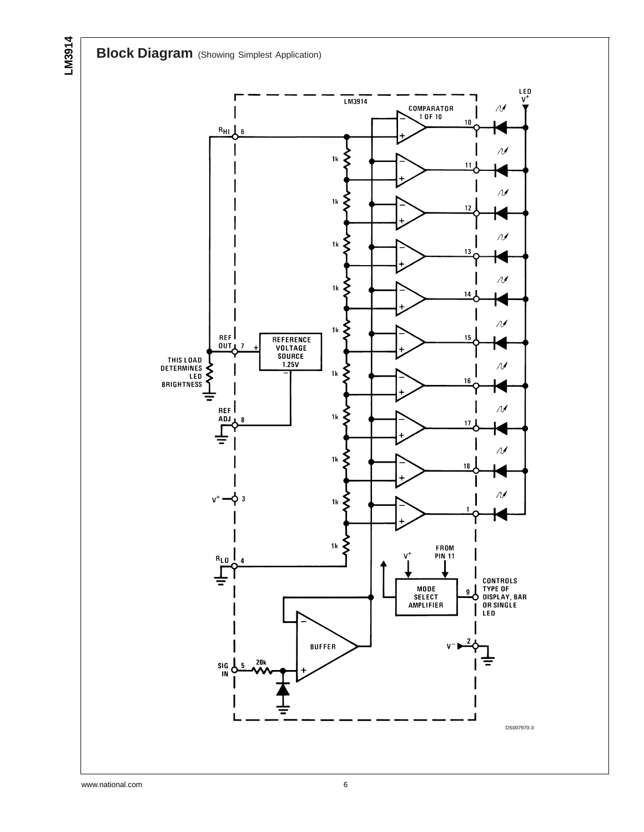**Block Diagram** (Showing Simplest Application)

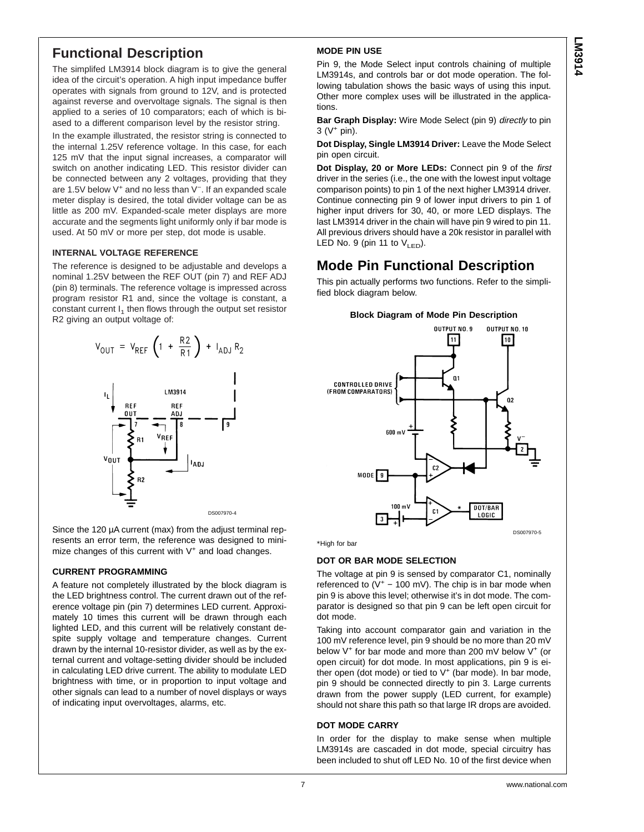## **Functional Description**

The simplifed LM3914 block diagram is to give the general idea of the circuit's operation. A high input impedance buffer operates with signals from ground to 12V, and is protected against reverse and overvoltage signals. The signal is then applied to a series of 10 comparators; each of which is biased to a different comparison level by the resistor string.

In the example illustrated, the resistor string is connected to the internal 1.25V reference voltage. In this case, for each 125 mV that the input signal increases, a comparator will switch on another indicating LED. This resistor divider can be connected between any 2 voltages, providing that they are 1.5V below V<sup>+</sup> and no less than V<sup>−</sup> . If an expanded scale meter display is desired, the total divider voltage can be as little as 200 mV. Expanded-scale meter displays are more accurate and the segments light uniformly only if bar mode is used. At 50 mV or more per step, dot mode is usable.

#### **INTERNAL VOLTAGE REFERENCE**

The reference is designed to be adjustable and develops a nominal 1.25V between the REF OUT (pin 7) and REF ADJ (pin 8) terminals. The reference voltage is impressed across program resistor R1 and, since the voltage is constant, a constant current  $I_1$  then flows through the output set resistor R2 giving an output voltage of:



Since the 120 µA current (max) from the adjust terminal represents an error term, the reference was designed to minimize changes of this current with  $V^+$  and load changes.

#### **CURRENT PROGRAMMING**

A feature not completely illustrated by the block diagram is the LED brightness control. The current drawn out of the reference voltage pin (pin 7) determines LED current. Approximately 10 times this current will be drawn through each lighted LED, and this current will be relatively constant despite supply voltage and temperature changes. Current drawn by the internal 10-resistor divider, as well as by the external current and voltage-setting divider should be included in calculating LED drive current. The ability to modulate LED brightness with time, or in proportion to input voltage and other signals can lead to a number of novel displays or ways of indicating input overvoltages, alarms, etc.

#### **MODE PIN USE**

Pin 9, the Mode Select input controls chaining of multiple LM3914s, and controls bar or dot mode operation. The following tabulation shows the basic ways of using this input. Other more complex uses will be illustrated in the applications.

**Bar Graph Display:** Wire Mode Select (pin 9) directly to pin  $3 (V + pin)$ .

**Dot Display, Single LM3914 Driver:** Leave the Mode Select pin open circuit.

**Dot Display, 20 or More LEDs:** Connect pin 9 of the first driver in the series (i.e., the one with the lowest input voltage comparison points) to pin 1 of the next higher LM3914 driver. Continue connecting pin 9 of lower input drivers to pin 1 of higher input drivers for 30, 40, or more LED displays. The last LM3914 driver in the chain will have pin 9 wired to pin 11. All previous drivers should have a 20k resistor in parallel with LED No. 9 (pin 11 to  $V_{LED}$ ).

## **Mode Pin Functional Description**

This pin actually performs two functions. Refer to the simplified block diagram below.





\*High for bar

#### **DOT OR BAR MODE SELECTION**

The voltage at pin 9 is sensed by comparator C1, nominally referenced to  $(V^+ - 100 \text{ mV})$ . The chip is in bar mode when pin 9 is above this level; otherwise it's in dot mode. The comparator is designed so that pin 9 can be left open circuit for dot mode.

Taking into account comparator gain and variation in the 100 mV reference level, pin 9 should be no more than 20 mV below V<sup>+</sup> for bar mode and more than 200 mV below V<sup>+</sup> (or open circuit) for dot mode. In most applications, pin 9 is either open (dot mode) or tied to  $V^+$  (bar mode). In bar mode, pin 9 should be connected directly to pin 3. Large currents drawn from the power supply (LED current, for example) should not share this path so that large IR drops are avoided.

#### **DOT MODE CARRY**

In order for the display to make sense when multiple LM3914s are cascaded in dot mode, special circuitry has been included to shut off LED No. 10 of the first device when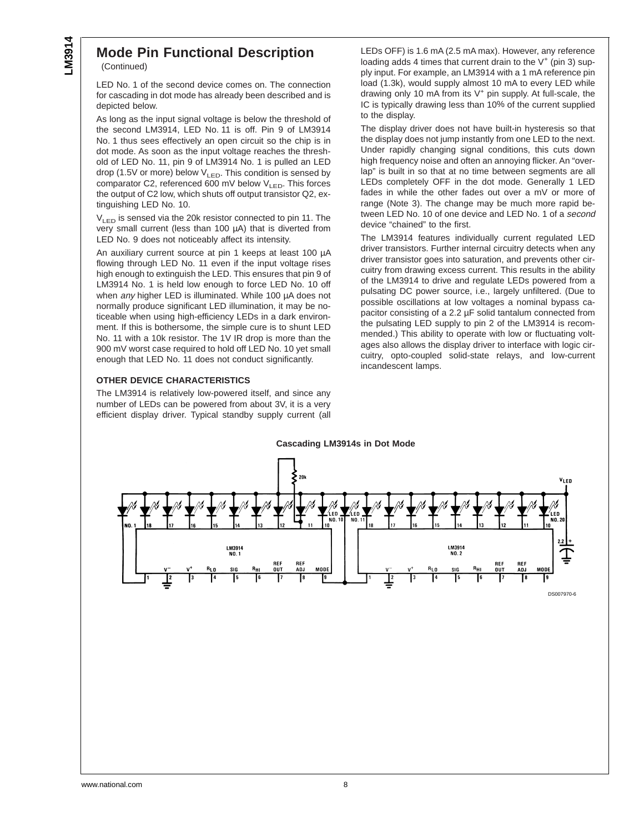# **Mode Pin Functional Description**

(Continued)

LED No. 1 of the second device comes on. The connection for cascading in dot mode has already been described and is depicted below.

As long as the input signal voltage is below the threshold of the second LM3914, LED No. 11 is off. Pin 9 of LM3914 No. 1 thus sees effectively an open circuit so the chip is in dot mode. As soon as the input voltage reaches the threshold of LED No. 11, pin 9 of LM3914 No. 1 is pulled an LED drop (1.5V or more) below  $V_{LED}$ . This condition is sensed by comparator C2, referenced 600 mV below  $V_{LED}$ . This forces the output of C2 low, which shuts off output transistor Q2, extinguishing LED No. 10.

 $V_{LED}$  is sensed via the 20k resistor connected to pin 11. The very small current (less than 100 µA) that is diverted from LED No. 9 does not noticeably affect its intensity.

An auxiliary current source at pin 1 keeps at least 100 µA flowing through LED No. 11 even if the input voltage rises high enough to extinguish the LED. This ensures that pin 9 of LM3914 No. 1 is held low enough to force LED No. 10 off when any higher LED is illuminated. While 100 µA does not normally produce significant LED illumination, it may be noticeable when using high-efficiency LEDs in a dark environment. If this is bothersome, the simple cure is to shunt LED No. 11 with a 10k resistor. The 1V IR drop is more than the 900 mV worst case required to hold off LED No. 10 yet small enough that LED No. 11 does not conduct significantly.

#### **OTHER DEVICE CHARACTERISTICS**

The LM3914 is relatively low-powered itself, and since any number of LEDs can be powered from about 3V, it is a very efficient display driver. Typical standby supply current (all LEDs OFF) is 1.6 mA (2.5 mA max). However, any reference loading adds 4 times that current drain to the  $V^+$  (pin 3) supply input. For example, an LM3914 with a 1 mA reference pin load (1.3k), would supply almost 10 mA to every LED while drawing only 10 mA from its V<sup>+</sup> pin supply. At full-scale, the IC is typically drawing less than 10% of the current supplied to the display.

The display driver does not have built-in hysteresis so that the display does not jump instantly from one LED to the next. Under rapidly changing signal conditions, this cuts down high frequency noise and often an annoying flicker. An "overlap" is built in so that at no time between segments are all LEDs completely OFF in the dot mode. Generally 1 LED fades in while the other fades out over a mV or more of range (Note 3). The change may be much more rapid between LED No. 10 of one device and LED No. 1 of a second device "chained" to the first.

The LM3914 features individually current regulated LED driver transistors. Further internal circuitry detects when any driver transistor goes into saturation, and prevents other circuitry from drawing excess current. This results in the ability of the LM3914 to drive and regulate LEDs powered from a pulsating DC power source, i.e., largely unfiltered. (Due to possible oscillations at low voltages a nominal bypass capacitor consisting of a 2.2 µF solid tantalum connected from the pulsating LED supply to pin 2 of the LM3914 is recommended.) This ability to operate with low or fluctuating voltages also allows the display driver to interface with logic circuitry, opto-coupled solid-state relays, and low-current incandescent lamps.

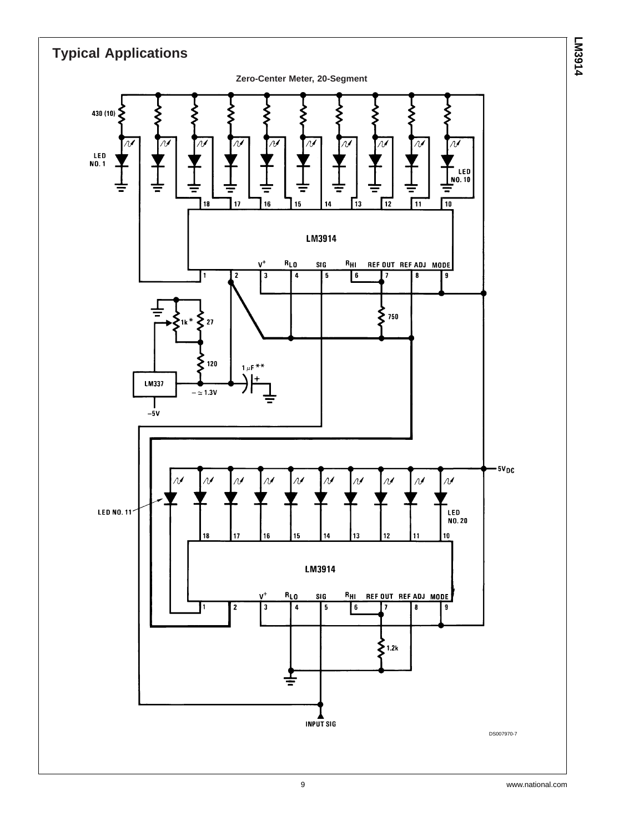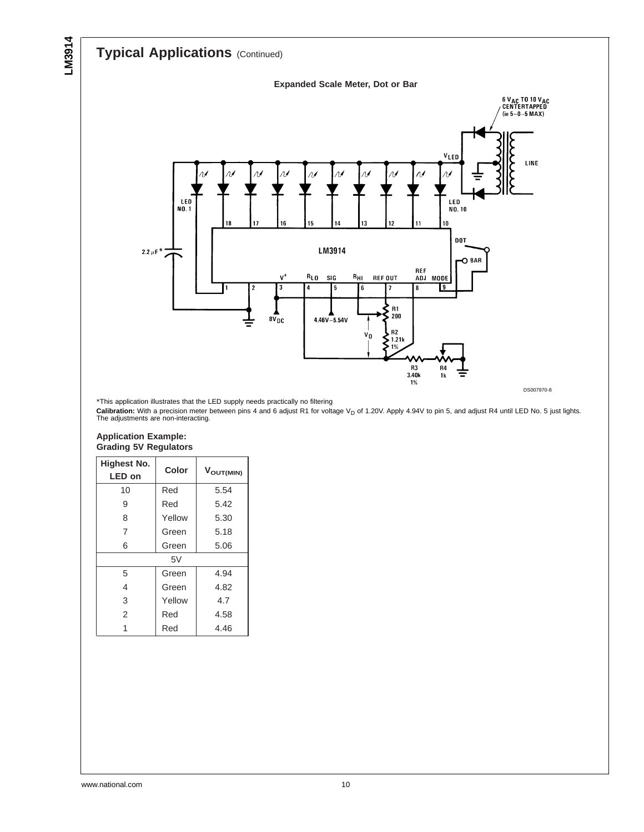**LM3914**

# **Typical Applications** (Continued)





\*This application illustrates that the LED supply needs practically no filtering

**Calibration:** With a precision meter between pins 4 and 6 adjust R1 for voltage V<sub>D</sub> of 1.20V. Apply 4.94V to pin 5, and adjust R4 until LED No. 5 just lights.<br>The adjustments are non-interacting.

#### **Application Example: Grading 5V Regulators**

| <b>Highest No.</b><br>LED on | Color  | V <sub>OUT(MIN)</sub> |
|------------------------------|--------|-----------------------|
| 10                           | Red    | 5.54                  |
| 9                            | Red    | 5.42                  |
| 8                            | Yellow | 5.30                  |
| 7                            | Green  | 5.18                  |
| 6                            | Green  | 5.06                  |
|                              | 5V     |                       |
| 5                            | Green  | 4.94                  |
| 4                            | Green  | 4.82                  |
| 3                            | Yellow | 4.7                   |
| $\overline{2}$               | Red    | 4.58                  |
|                              | Red    | 4.46                  |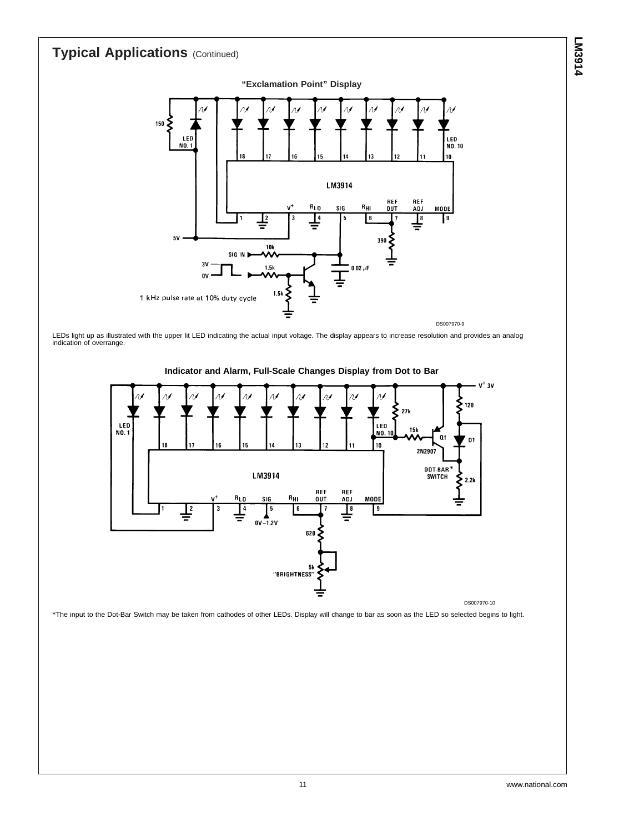

LEDs light up as illustrated with the upper lit LED indicating the actual input voltage. The display appears to increase resolution and provides an analog indication of overrange.



**Indicator and Alarm, Full-Scale Changes Display from Dot to Bar**

DS007970-10

\*The input to the Dot-Bar Switch may be taken from cathodes of other LEDs. Display will change to bar as soon as the LED so selected begins to light.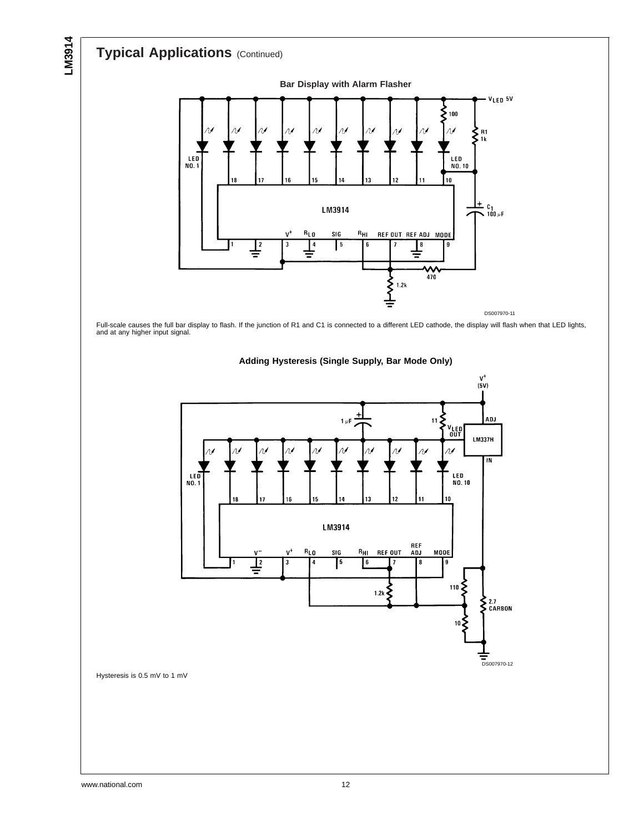**LM3914**



Full-scale causes the full bar display to flash. If the junction of R1 and C1 is connected to a different LED cathode, the display will flash when that LED lights, and at any higher input signal.



**Adding Hysteresis (Single Supply, Bar Mode Only)**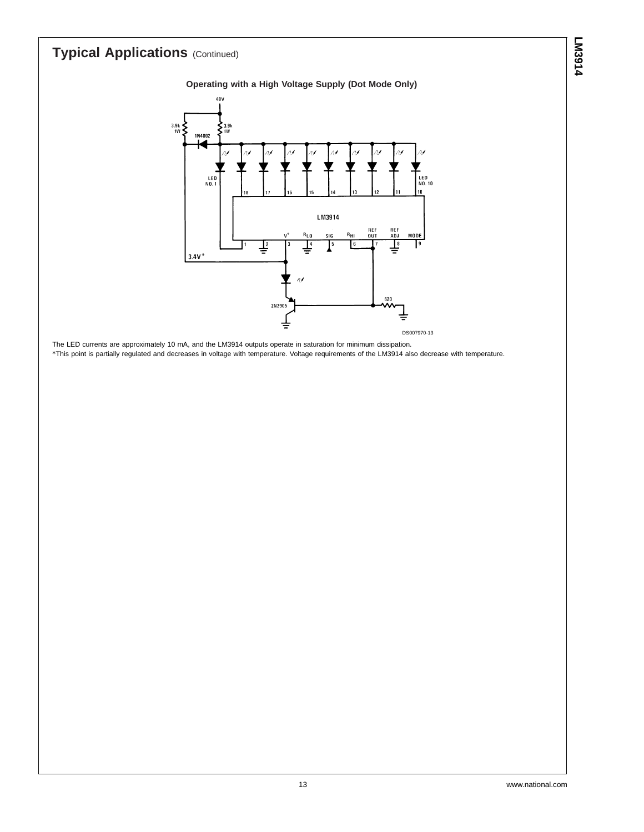#### **Operating with a High Voltage Supply (Dot Mode Only)**



The LED currents are approximately 10 mA, and the LM3914 outputs operate in saturation for minimum dissipation. \*This point is partially regulated and decreases in voltage with temperature. Voltage requirements of the LM3914 also decrease with temperature.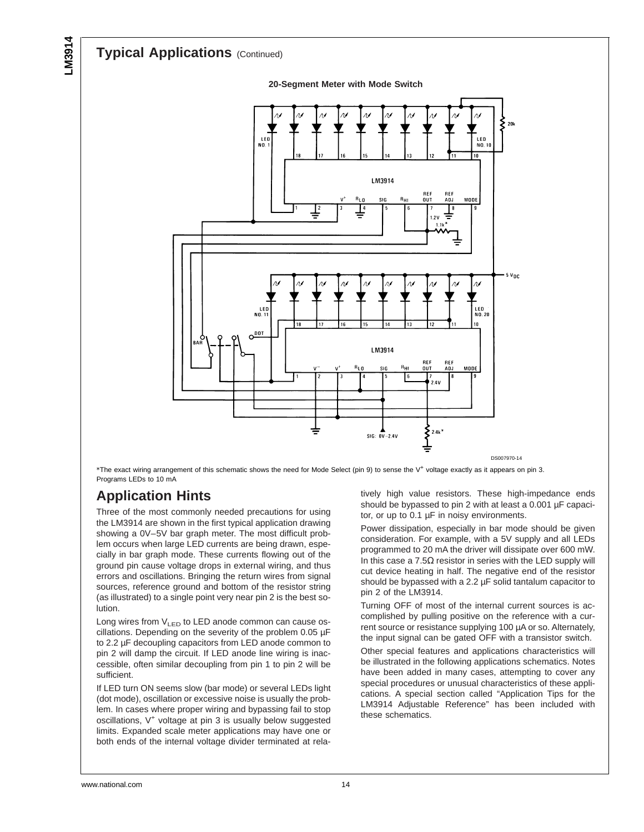

**20-Segment Meter with Mode Switch**

\*The exact wiring arrangement of this schematic shows the need for Mode Select (pin 9) to sense the V<sup>+</sup> voltage exactly as it appears on pin 3. Programs LEDs to 10 mA

## **Application Hints**

Three of the most commonly needed precautions for using the LM3914 are shown in the first typical application drawing showing a 0V–5V bar graph meter. The most difficult problem occurs when large LED currents are being drawn, especially in bar graph mode. These currents flowing out of the ground pin cause voltage drops in external wiring, and thus errors and oscillations. Bringing the return wires from signal sources, reference ground and bottom of the resistor string (as illustrated) to a single point very near pin 2 is the best solution.

Long wires from  $V_{LED}$  to LED anode common can cause oscillations. Depending on the severity of the problem 0.05 µF to 2.2 µF decoupling capacitors from LED anode common to pin 2 will damp the circuit. If LED anode line wiring is inaccessible, often similar decoupling from pin 1 to pin 2 will be sufficient.

If LED turn ON seems slow (bar mode) or several LEDs light (dot mode), oscillation or excessive noise is usually the problem. In cases where proper wiring and bypassing fail to stop oscillations, V<sup>+</sup> voltage at pin 3 is usually below suggested limits. Expanded scale meter applications may have one or both ends of the internal voltage divider terminated at relatively high value resistors. These high-impedance ends should be bypassed to pin 2 with at least a 0.001 µF capacitor, or up to 0.1 µF in noisy environments.

Power dissipation, especially in bar mode should be given consideration. For example, with a 5V supply and all LEDs programmed to 20 mA the driver will dissipate over 600 mW. In this case a  $7.5\Omega$  resistor in series with the LED supply will cut device heating in half. The negative end of the resistor should be bypassed with a 2.2 µF solid tantalum capacitor to pin 2 of the LM3914.

Turning OFF of most of the internal current sources is accomplished by pulling positive on the reference with a current source or resistance supplying 100 µA or so. Alternately, the input signal can be gated OFF with a transistor switch.

Other special features and applications characteristics will be illustrated in the following applications schematics. Notes have been added in many cases, attempting to cover any special procedures or unusual characteristics of these applications. A special section called "Application Tips for the LM3914 Adjustable Reference" has been included with these schematics.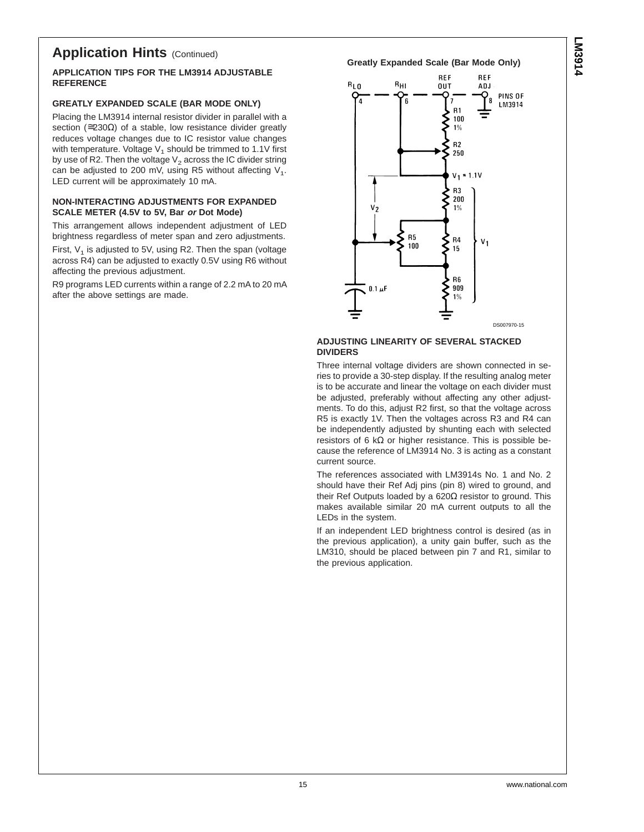## **Application Hints (Continued)**

#### **APPLICATION TIPS FOR THE LM3914 ADJUSTABLE REFERENCE**

#### **GREATLY EXPANDED SCALE (BAR MODE ONLY)**

Placing the LM3914 internal resistor divider in parallel with a section ( $\approx$ 230 $\Omega$ ) of a stable, low resistance divider greatly reduces voltage changes due to IC resistor value changes with temperature. Voltage  $V_1$  should be trimmed to 1.1V first by use of R2. Then the voltage  $V_2$  across the IC divider string can be adjusted to 200 mV, using R5 without affecting  $V_1$ . LED current will be approximately 10 mA.

#### **NON-INTERACTING ADJUSTMENTS FOR EXPANDED SCALE METER (4.5V to 5V, Bar or Dot Mode)**

This arrangement allows independent adjustment of LED brightness regardless of meter span and zero adjustments.

First,  $V_1$  is adjusted to 5V, using R2. Then the span (voltage across R4) can be adjusted to exactly 0.5V using R6 without affecting the previous adjustment.

R9 programs LED currents within a range of 2.2 mA to 20 mA after the above settings are made.

#### **Greatly Expanded Scale (Bar Mode Only)**



#### **ADJUSTING LINEARITY OF SEVERAL STACKED DIVIDERS**

Three internal voltage dividers are shown connected in series to provide a 30-step display. If the resulting analog meter is to be accurate and linear the voltage on each divider must be adjusted, preferably without affecting any other adjustments. To do this, adjust R2 first, so that the voltage across R5 is exactly 1V. Then the voltages across R3 and R4 can be independently adjusted by shunting each with selected resistors of 6 kΩ or higher resistance. This is possible because the reference of LM3914 No. 3 is acting as a constant current source.

The references associated with LM3914s No. 1 and No. 2 should have their Ref Adj pins (pin 8) wired to ground, and their Ref Outputs loaded by a 620Ω resistor to ground. This makes available similar 20 mA current outputs to all the LEDs in the system.

If an independent LED brightness control is desired (as in the previous application), a unity gain buffer, such as the LM310, should be placed between pin 7 and R1, similar to the previous application.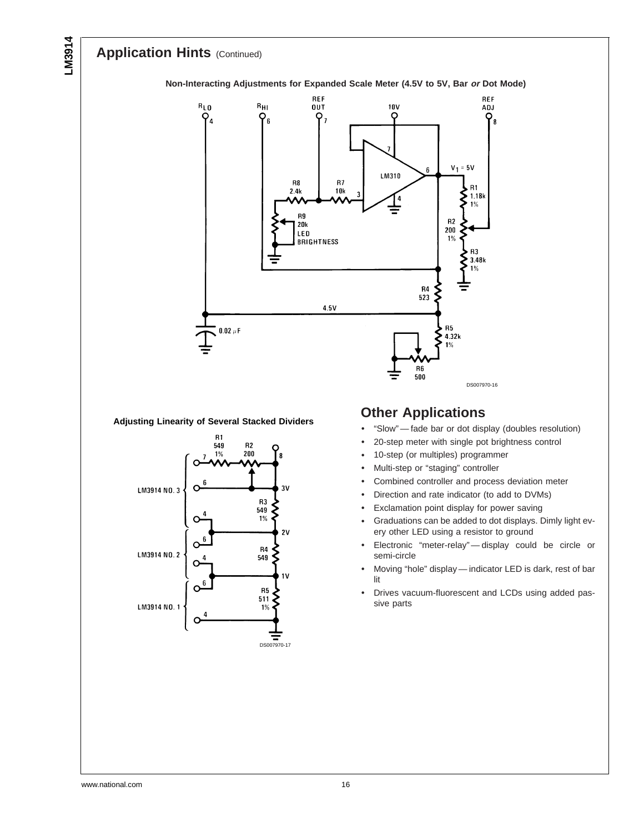## **Application Hints (Continued)**



#### **Adjusting Linearity of Several Stacked Dividers**



### **Other Applications**

- "Slow" fade bar or dot display (doubles resolution)
- 20-step meter with single pot brightness control
- 10-step (or multiples) programmer
- Multi-step or "staging" controller
- Combined controller and process deviation meter
- Direction and rate indicator (to add to DVMs)
- Exclamation point display for power saving
- Graduations can be added to dot displays. Dimly light every other LED using a resistor to ground
- Electronic "meter-relay" display could be circle or semi-circle
- Moving "hole" display indicator LED is dark, rest of bar lit
- Drives vacuum-fluorescent and LCDs using added passive parts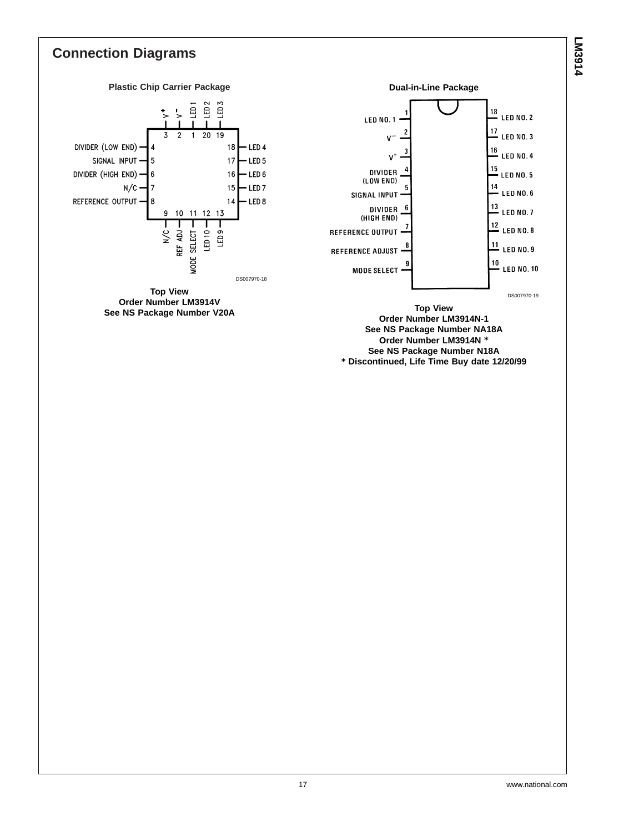## **Connection Diagrams**



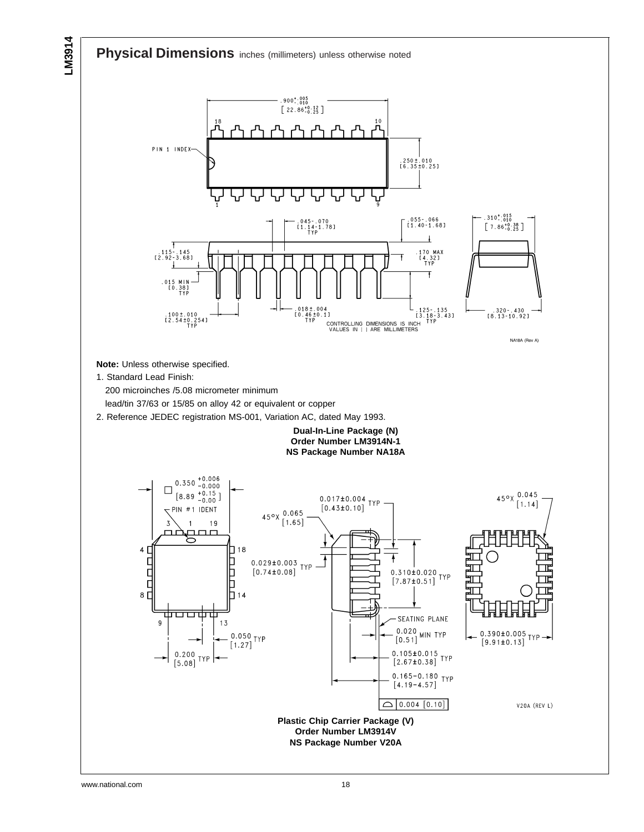